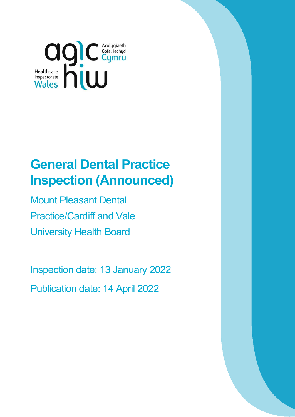

# **General Dental Practice Inspection (Announced)**

Mount Pleasant Dental Practice/Cardiff and Vale University Health Board

Inspection date: 13 January 2022 Publication date: 14 April 2022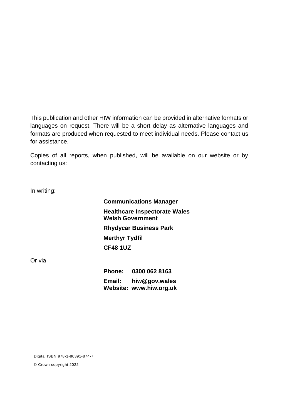This publication and other HIW information can be provided in alternative formats or languages on request. There will be a short delay as alternative languages and formats are produced when requested to meet individual needs. Please contact us for assistance.

Copies of all reports, when published, will be available on our website or by contacting us:

In writing:

**Communications Manager Healthcare Inspectorate Wales Welsh Government Rhydycar Business Park Merthyr Tydfil CF48 1UZ**

Or via

**Phone: 0300 062 8163 Email: [hiw@gov.wales](mailto:hiw@gov.wales) Website: [www.hiw.org.uk](http://www.hiw.org.uk/)**

Digital ISBN 978-1-80391-874-7

© Crown copyright 2022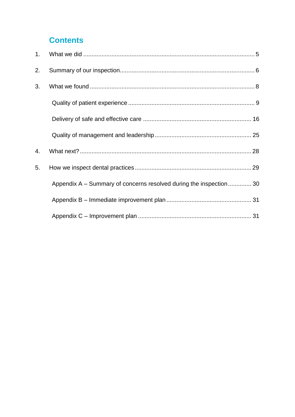## **Contents**

| 1. |                                                                    |  |
|----|--------------------------------------------------------------------|--|
| 2. |                                                                    |  |
| 3. |                                                                    |  |
|    |                                                                    |  |
|    |                                                                    |  |
|    |                                                                    |  |
| 4. |                                                                    |  |
| 5. |                                                                    |  |
|    | Appendix A – Summary of concerns resolved during the inspection 30 |  |
|    |                                                                    |  |
|    |                                                                    |  |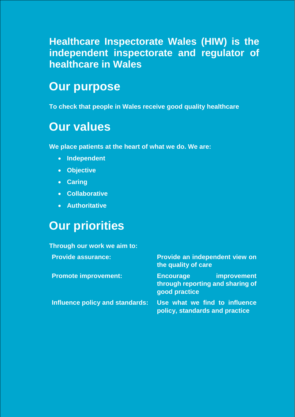**Healthcare Inspectorate Wales (HIW) is the independent inspectorate and regulator of healthcare in Wales** 

## **Our purpose**

**To check that people in Wales receive good quality healthcare**

## **Our values**

**We place patients at the heart of what we do. We are:**

- **Independent**
- **Objective**
- **Caring**
- **Collaborative**
- **Authoritative**

## **Our priorities**

| Through our work we aim to:     |                                                                                             |
|---------------------------------|---------------------------------------------------------------------------------------------|
| <b>Provide assurance:</b>       | <b>Provide an independent view on</b><br>the quality of care                                |
| <b>Promote improvement:</b>     | <b>improvement</b><br><b>Encourage</b><br>through reporting and sharing of<br>good practice |
| Influence policy and standards: | Use what we find to influence<br>policy, standards and practice                             |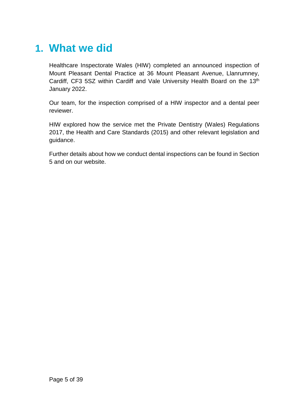## <span id="page-4-0"></span>**1. What we did**

Healthcare Inspectorate Wales (HIW) completed an announced inspection of Mount Pleasant Dental Practice at 36 Mount Pleasant Avenue, Llanrumney, Cardiff, CF3 5SZ within Cardiff and Vale University Health Board on the 13<sup>th</sup> January 2022.

Our team, for the inspection comprised of a HIW inspector and a dental peer reviewer.

HIW explored how the service met the Private Dentistry (Wales) Regulations 2017, the Health and Care Standards (2015) and other relevant legislation and guidance.

Further details about how we conduct dental inspections can be found in Section 5 and on our website.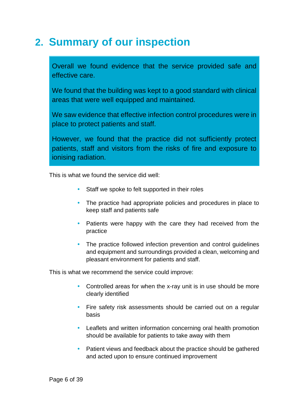## <span id="page-5-0"></span>**2. Summary of our inspection**

Overall we found evidence that the service provided safe and effective care.

We found that the building was kept to a good standard with clinical areas that were well equipped and maintained.

We saw evidence that effective infection control procedures were in place to protect patients and staff.

However, we found that the practice did not sufficiently protect patients, staff and visitors from the risks of fire and exposure to ionising radiation.

This is what we found the service did well:

- Staff we spoke to felt supported in their roles
- The practice had appropriate policies and procedures in place to keep staff and patients safe
- Patients were happy with the care they had received from the practice
- The practice followed infection prevention and control guidelines and equipment and surroundings provided a clean, welcoming and pleasant environment for patients and staff.

This is what we recommend the service could improve:

- Controlled areas for when the x-ray unit is in use should be more clearly identified
- Fire safety risk assessments should be carried out on a regular basis
- Leaflets and written information concerning oral health promotion should be available for patients to take away with them
- Patient views and feedback about the practice should be gathered and acted upon to ensure continued improvement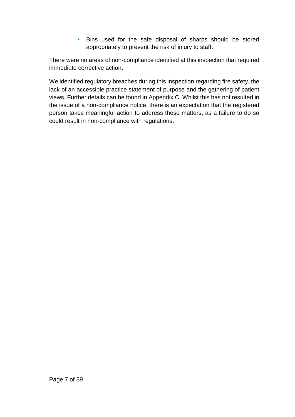• Bins used for the safe disposal of sharps should be stored appropriately to prevent the risk of injury to staff.

There were no areas of non-compliance identified at this inspection that required immediate corrective action.

We identified regulatory breaches during this inspection regarding fire safety, the lack of an accessible practice statement of purpose and the gathering of patient views. Further details can be found in Appendix C. Whilst this has not resulted in the issue of a non-compliance notice, there is an expectation that the registered person takes meaningful action to address these matters, as a failure to do so could result in non-compliance with regulations.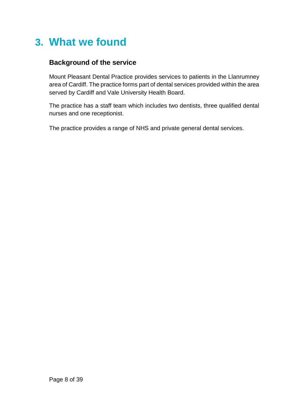## <span id="page-7-0"></span>**3. What we found**

### **Background of the service**

Mount Pleasant Dental Practice provides services to patients in the Llanrumney area of Cardiff. The practice forms part of dental services provided within the area served by Cardiff and Vale University Health Board.

The practice has a staff team which includes two dentists, three qualified dental nurses and one receptionist.

The practice provides a range of NHS and private general dental services.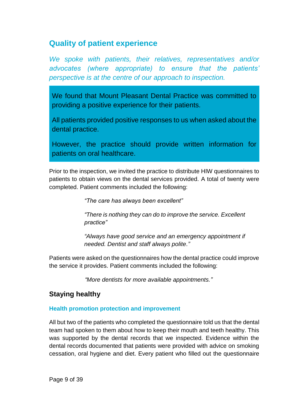## <span id="page-8-0"></span>**Quality of patient experience**

*We spoke with patients, their relatives, representatives and/or advocates (where appropriate) to ensure that the patients' perspective is at the centre of our approach to inspection.*

We found that Mount Pleasant Dental Practice was committed to providing a positive experience for their patients.

All patients provided positive responses to us when asked about the dental practice.

However, the practice should provide written information for patients on oral healthcare.

Prior to the inspection, we invited the practice to distribute HIW questionnaires to patients to obtain views on the dental services provided. A total of twenty were completed. Patient comments included the following:

*"The care has always been excellent"*

*"There is nothing they can do to improve the service. Excellent practice"*

*"Always have good service and an emergency appointment if needed. Dentist and staff always polite."*

Patients were asked on the questionnaires how the dental practice could improve the service it provides. Patient comments included the following:

*"More dentists for more available appointments."*

#### **Staying healthy**

#### **Health promotion protection and improvement**

All but two of the patients who completed the questionnaire told us that the dental team had spoken to them about how to keep their mouth and teeth healthy. This was supported by the dental records that we inspected. Evidence within the dental records documented that patients were provided with advice on smoking cessation, oral hygiene and diet. Every patient who filled out the questionnaire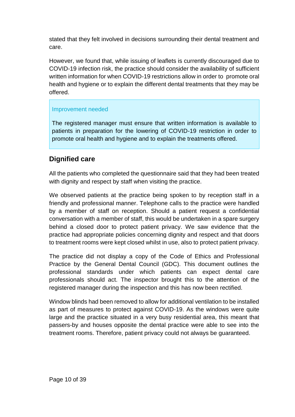stated that they felt involved in decisions surrounding their dental treatment and care.

However, we found that, while issuing of leaflets is currently discouraged due to COVID-19 infection risk, the practice should consider the availability of sufficient written information for when COVID-19 restrictions allow in order to promote oral health and hygiene or to explain the different dental treatments that they may be offered.

#### Improvement needed

The registered manager must ensure that written information is available to patients in preparation for the lowering of COVID-19 restriction in order to promote oral health and hygiene and to explain the treatments offered.

### **Dignified care**

All the patients who completed the questionnaire said that they had been treated with dignity and respect by staff when visiting the practice.

We observed patients at the practice being spoken to by reception staff in a friendly and professional manner. Telephone calls to the practice were handled by a member of staff on reception. Should a patient request a confidential conversation with a member of staff, this would be undertaken in a spare surgery behind a closed door to protect patient privacy. We saw evidence that the practice had appropriate policies concerning dignity and respect and that doors to treatment rooms were kept closed whilst in use, also to protect patient privacy.

The practice did not display a copy of the Code of Ethics and Professional Practice by the General Dental Council (GDC). This document outlines the professional standards under which patients can expect dental care professionals should act. The inspector brought this to the attention of the registered manager during the inspection and this has now been rectified.

Window blinds had been removed to allow for additional ventilation to be installed as part of measures to protect against COVID-19. As the windows were quite large and the practice situated in a very busy residential area, this meant that passers-by and houses opposite the dental practice were able to see into the treatment rooms. Therefore, patient privacy could not always be guaranteed.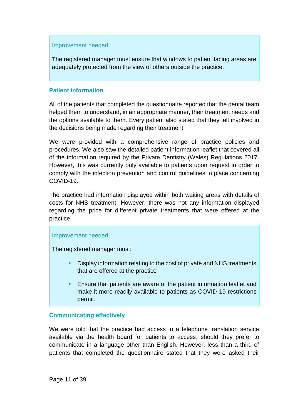#### Improvement needed

The registered manager must ensure that windows to patient facing areas are adequately protected from the view of others outside the practice.

#### **Patient information**

All of the patients that completed the questionnaire reported that the dental team helped them to understand, in an appropriate manner, their treatment needs and the options available to them. Every patient also stated that they felt involved in the decisions being made regarding their treatment.

We were provided with a comprehensive range of practice policies and procedures. We also saw the detailed patient information leaflet that covered all of the information required by the Private Dentistry (Wales) Regulations 2017. However, this was currently only available to patients upon request in order to comply with the infection prevention and control guidelines in place concerning COVID-19.

The practice had information displayed within both waiting areas with details of costs for NHS treatment. However, there was not any information displayed regarding the price for different private treatments that were offered at the practice.

#### Improvement needed

The registered manager must:

- Display information relating to the cost of private and NHS treatments that are offered at the practice
- Ensure that patients are aware of the patient information leaflet and make it more readily available to patients as COVID-19 restrictions permit.

#### **Communicating effectively**

We were told that the practice had access to a telephone translation service available via the health board for patients to access, should they prefer to communicate in a language other than English. However, less than a third of patients that completed the questionnaire stated that they were asked their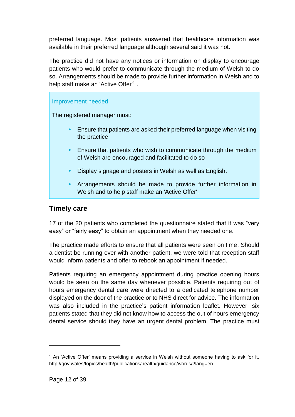preferred language. Most patients answered that healthcare information was available in their preferred language although several said it was not.

The practice did not have any notices or information on display to encourage patients who would prefer to communicate through the medium of Welsh to do so. Arrangements should be made to provide further information in Welsh and to help staff make an 'Active Offer'<sup>1</sup>.

#### Improvement needed

The registered manager must:

- Ensure that patients are asked their preferred language when visiting the practice
- Ensure that patients who wish to communicate through the medium of Welsh are encouraged and facilitated to do so
- Display signage and posters in Welsh as well as English.
- Arrangements should be made to provide further information in Welsh and to help staff make an 'Active Offer'.

#### **Timely care**

17 of the 20 patients who completed the questionnaire stated that it was "very easy" or "fairly easy" to obtain an appointment when they needed one.

The practice made efforts to ensure that all patients were seen on time. Should a dentist be running over with another patient, we were told that reception staff would inform patients and offer to rebook an appointment if needed.

Patients requiring an emergency appointment during practice opening hours would be seen on the same day whenever possible. Patients requiring out of hours emergency dental care were directed to a dedicated telephone number displayed on the door of the practice or to NHS direct for advice. The information was also included in the practice's patient information leaflet. However, six patients stated that they did not know how to access the out of hours emergency dental service should they have an urgent dental problem. The practice must

<sup>1</sup> An 'Active Offer' means providing a service in Welsh without someone having to ask for it. http://gov.wales/topics/health/publications/health/guidance/words/?lang=en.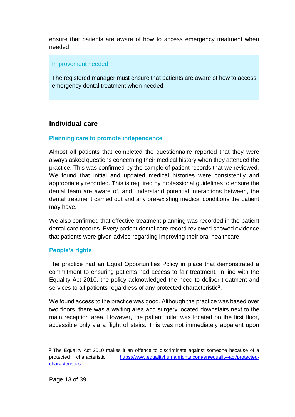ensure that patients are aware of how to access emergency treatment when needed.

#### Improvement needed

The registered manager must ensure that patients are aware of how to access emergency dental treatment when needed.

#### **Individual care**

#### **Planning care to promote independence**

Almost all patients that completed the questionnaire reported that they were always asked questions concerning their medical history when they attended the practice. This was confirmed by the sample of patient records that we reviewed. We found that initial and updated medical histories were consistently and appropriately recorded. This is required by professional guidelines to ensure the dental team are aware of, and understand potential interactions between, the dental treatment carried out and any pre-existing medical conditions the patient may have.

We also confirmed that effective treatment planning was recorded in the patient dental care records. Every patient dental care record reviewed showed evidence that patients were given advice regarding improving their oral healthcare.

#### **People's rights**

The practice had an Equal Opportunities Policy in place that demonstrated a commitment to ensuring patients had access to fair treatment. In line with the Equality Act 2010, the policy acknowledged the need to deliver treatment and services to all patients regardless of any protected characteristic<sup>2</sup>.

We found access to the practice was good. Although the practice was based over two floors, there was a waiting area and surgery located downstairs next to the main reception area. However, the patient toilet was located on the first floor, accessible only via a flight of stairs. This was not immediately apparent upon

 $\overline{a}$ 

<sup>&</sup>lt;sup>2</sup> The Equality Act 2010 makes it an offence to discriminate against someone because of a protected characteristic. [https://www.equalityhumanrights.com/en/equality-act/protected](https://www.equalityhumanrights.com/en/equality-act/protected-characteristics)[characteristics](https://www.equalityhumanrights.com/en/equality-act/protected-characteristics)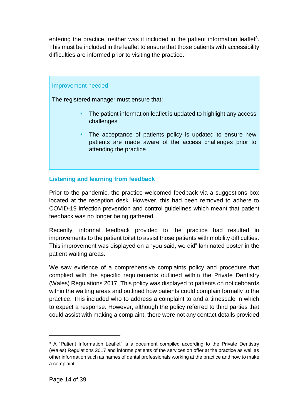entering the practice, neither was it included in the patient information leaflet<sup>3</sup>. This must be included in the leaflet to ensure that those patients with accessibility difficulties are informed prior to visiting the practice.

#### Improvement needed

The registered manager must ensure that:

- The patient information leaflet is updated to highlight any access challenges
- The acceptance of patients policy is updated to ensure new patients are made aware of the access challenges prior to attending the practice

#### **Listening and learning from feedback**

Prior to the pandemic, the practice welcomed feedback via a suggestions box located at the reception desk. However, this had been removed to adhere to COVID-19 infection prevention and control guidelines which meant that patient feedback was no longer being gathered.

Recently, informal feedback provided to the practice had resulted in improvements to the patient toilet to assist those patients with mobility difficulties. This improvement was displayed on a "you said, we did" laminated poster in the patient waiting areas.

We saw evidence of a comprehensive complaints policy and procedure that complied with the specific requirements outlined within the Private Dentistry (Wales) Regulations 2017. This policy was displayed to patients on noticeboards within the waiting areas and outlined how patients could complain formally to the practice. This included who to address a complaint to and a timescale in which to expect a response. However, although the policy referred to third parties that could assist with making a complaint, there were not any contact details provided

<sup>&</sup>lt;sup>3</sup> A "Patient Information Leaflet" is a document compiled according to the Private Dentistry (Wales) Regulations 2017 and informs patients of the services on offer at the practice as well as other information such as names of dental professionals working at the practice and how to make a complaint.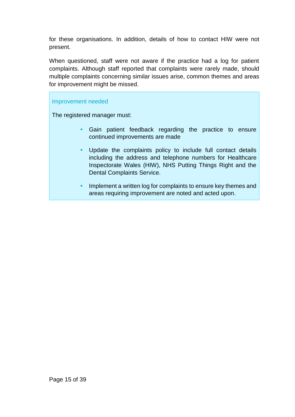for these organisations. In addition, details of how to contact HIW were not present.

When questioned, staff were not aware if the practice had a log for patient complaints. Although staff reported that complaints were rarely made, should multiple complaints concerning similar issues arise, common themes and areas for improvement might be missed.

#### Improvement needed

The registered manager must:

- Gain patient feedback regarding the practice to ensure continued improvements are made
- Update the complaints policy to include full contact details including the address and telephone numbers for Healthcare Inspectorate Wales (HIW), NHS Putting Things Right and the Dental Complaints Service.
- Implement a written log for complaints to ensure key themes and areas requiring improvement are noted and acted upon.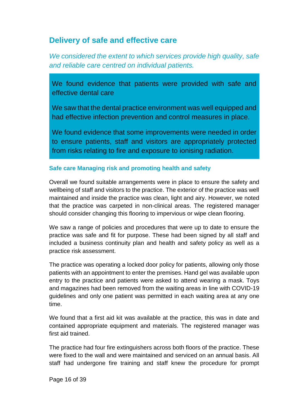### <span id="page-15-0"></span>**Delivery of safe and effective care**

*We considered the extent to which services provide high quality, safe and reliable care centred on individual patients.*

We found evidence that patients were provided with safe and effective dental care

We saw that the dental practice environment was well equipped and had effective infection prevention and control measures in place.

We found evidence that some improvements were needed in order to ensure patients, staff and visitors are appropriately protected from risks relating to fire and exposure to ionising radiation.

#### **Safe care Managing risk and promoting health and safety**

Overall we found suitable arrangements were in place to ensure the safety and wellbeing of staff and visitors to the practice. The exterior of the practice was well maintained and inside the practice was clean, light and airy. However, we noted that the practice was carpeted in non-clinical areas. The registered manager should consider changing this flooring to impervious or wipe clean flooring.

We saw a range of policies and procedures that were up to date to ensure the practice was safe and fit for purpose. These had been signed by all staff and included a business continuity plan and health and safety policy as well as a practice risk assessment.

The practice was operating a locked door policy for patients, allowing only those patients with an appointment to enter the premises. Hand gel was available upon entry to the practice and patients were asked to attend wearing a mask. Toys and magazines had been removed from the waiting areas in line with COVID-19 guidelines and only one patient was permitted in each waiting area at any one time.

We found that a first aid kit was available at the practice, this was in date and contained appropriate equipment and materials. The registered manager was first aid trained.

The practice had four fire extinguishers across both floors of the practice. These were fixed to the wall and were maintained and serviced on an annual basis. All staff had undergone fire training and staff knew the procedure for prompt

Page 16 of 39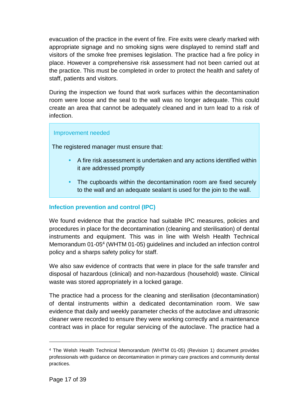evacuation of the practice in the event of fire. Fire exits were clearly marked with appropriate signage and no smoking signs were displayed to remind staff and visitors of the smoke free premises legislation. The practice had a fire policy in place. However a comprehensive risk assessment had not been carried out at the practice. This must be completed in order to protect the health and safety of staff, patients and visitors.

During the inspection we found that work surfaces within the decontamination room were loose and the seal to the wall was no longer adequate. This could create an area that cannot be adequately cleaned and in turn lead to a risk of infection.

#### Improvement needed

The registered manager must ensure that:

- A fire risk assessment is undertaken and any actions identified within it are addressed promptly
- The cupboards within the decontamination room are fixed securely to the wall and an adequate sealant is used for the join to the wall.

#### **Infection prevention and control (IPC)**

We found evidence that the practice had suitable IPC measures, policies and procedures in place for the decontamination (cleaning and sterilisation) of dental instruments and equipment. This was in line with Welsh Health Technical Memorandum 01-05<sup>4</sup> (WHTM 01-05) guidelines and included an infection control policy and a sharps safety policy for staff.

We also saw evidence of contracts that were in place for the safe transfer and disposal of hazardous (clinical) and non-hazardous (household) waste. Clinical waste was stored appropriately in a locked garage.

The practice had a process for the cleaning and sterilisation (decontamination) of dental instruments within a dedicated decontamination room. We saw evidence that daily and weekly parameter checks of the autoclave and ultrasonic cleaner were recorded to ensure they were working correctly and a maintenance contract was in place for regular servicing of the autoclave. The practice had a

 $\overline{a}$ 

<sup>4</sup> The Welsh Health Technical Memorandum (WHTM 01-05) (Revision 1) document provides professionals with guidance on decontamination in primary care practices and community dental practices.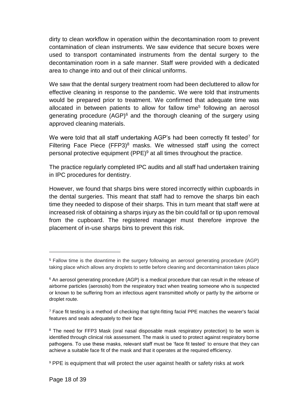dirty to clean workflow in operation within the decontamination room to prevent contamination of clean instruments. We saw evidence that secure boxes were used to transport contaminated instruments from the dental surgery to the decontamination room in a safe manner. Staff were provided with a dedicated area to change into and out of their clinical uniforms.

We saw that the dental surgery treatment room had been decluttered to allow for effective cleaning in response to the pandemic. We were told that instruments would be prepared prior to treatment. We confirmed that adequate time was allocated in between patients to allow for fallow time<sup>5</sup> following an aerosol generating procedure  $(AGP)^6$  and the thorough cleaning of the surgery using approved cleaning materials.

We were told that all staff undertaking AGP's had been correctly fit tested<sup>7</sup> for Filtering Face Piece  $(FFP3)^8$  masks. We witnessed staff using the correct personal protective equipment (PPE)<sup>9</sup> at all times throughout the practice.

The practice regularly completed IPC audits and all staff had undertaken training in IPC procedures for dentistry.

However, we found that sharps bins were stored incorrectly within cupboards in the dental surgeries. This meant that staff had to remove the sharps bin each time they needed to dispose of their sharps. This in turn meant that staff were at increased risk of obtaining a sharps injury as the bin could fall or tip upon removal from the cupboard. The registered manager must therefore improve the placement of in-use sharps bins to prevent this risk.

<sup>5</sup> Fallow time is the downtime in the surgery following an aerosol generating procedure (AGP) taking place which allows any droplets to settle before cleaning and decontamination takes place

<sup>&</sup>lt;sup>6</sup> An aerosol generating procedure (AGP) is a medical procedure that can result in the release of airborne particles (aerosols) from the respiratory tract when treating someone who is suspected or known to be suffering from an infectious agent transmitted wholly or partly by the airborne or droplet route.

 $<sup>7</sup>$  Face fit testing is a method of checking that tight-fitting facial PPE matches the wearer's facial</sup> features and seals adequately to their face

<sup>&</sup>lt;sup>8</sup> The need for FFP3 Mask (oral nasal disposable mask respiratory protection) to be worn is identified through clinical risk assessment. The mask is used to protect against respiratory borne pathogens. To use these masks, relevant staff must be 'face fit tested' to ensure that they can achieve a suitable face fit of the mask and that it operates at the required efficiency.

<sup>&</sup>lt;sup>9</sup> PPE is equipment that will protect the user against health or safety risks at work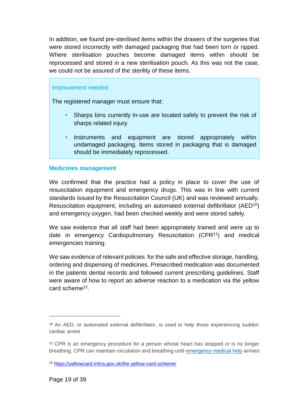In addition, we found pre-sterilised items within the drawers of the surgeries that were stored incorrectly with damaged packaging that had been torn or ripped. Where sterilisation pouches become damaged items within should be reprocessed and stored in a new sterilisation pouch. As this was not the case, we could not be assured of the sterility of these items.

#### Improvement needed

The registered manager must ensure that:

- Sharps bins currently in-use are located safely to prevent the risk of sharps related injury
- Instruments and equipment are stored appropriately within undamaged packaging. Items stored in packaging that is damaged should be immediately reprocessed.

#### **Medicines management**

We confirmed that the practice had a policy in place to cover the use of resuscitation equipment and emergency drugs. This was in line with current standards issued by the Resuscitation Council (UK) and was reviewed annually. Resuscitation equipment, including an automated external defibrillator (AED<sup>10</sup>) and emergency oxygen, had been checked weekly and were stored safely.

We saw evidence that all staff had been appropriately trained and were up to date in emergency Cardiopulmonary Resuscitation (CPR<sup>11</sup>) and medical emergencies training.

We saw evidence of relevant policies for the safe and effective storage, handling, ordering and dispensing of medicines. Presecribed medication was documented in the patients dental records and followed current prescribing guidelines. Staff were aware of how to report an adverse reaction to a medication via the yellow card scheme<sup>12</sup>.

 $\overline{a}$ 

<sup>10</sup> An AED, or automated external defibrillator, is used to help those experiencing sudden cardiac arrest

<sup>11</sup> CPR is an emergency procedure for a person whose heart has stopped or is no longer breathing. CPR can maintain circulation and breathing until [emergency](https://medlineplus.gov/emergencymedicalservices.html) medical help arrives

<sup>12</sup> <https://yellowcard.mhra.gov.uk/the-yellow-card-scheme/>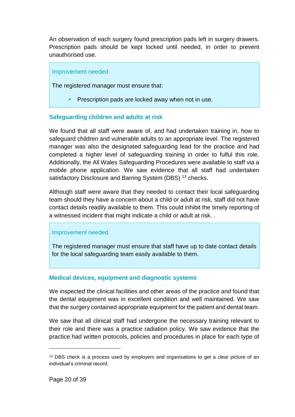An observation of each surgery found prescription pads left in surgery drawers. Prescription pads should be kept locked until needed, in order to prevent unauthorised use.

#### Improvement needed

The registered manager must ensure that:

Prescription pads are locked away when not in use.

#### **Safeguarding children and adults at risk**

We found that all staff were aware of, and had undertaken training in, how to safeguard children and vulnerable adults to an appropriate level. The registered manager was also the designated safeguarding lead for the practice and had completed a higher level of safeguarding training in order to fulful this role. Additionally, the All Wales Safeguarding Procedures were available to staff via a mobile phone application. We saw evidence that all staff had undertaken satisfactory Disclosure and Barring System (DBS)<sup>13</sup> checks.

Although staff were aware that they needed to contact their local safeguarding team should they have a concern about a child or adult at risk, staff did not have contact details readily available to them. This could inhibit the timely reporting of a witnessed incident that might indicate a child or adult at risk. .

#### Improvement needed

The registered manager must ensure that staff have up to date contact details for the local safeguarding team easily available to them.

#### **Medical devices, equipment and diagnostic systems**

We inspected the clinical facilities and other areas of the practice and found that the dental equipment was in excellent condition and well maintained. We saw that the surgery contained appropriate equipment for the patient and dental team.

We saw that all clinical staff had undergone the necessary training relevant to their role and there was a practice radiation policy. We saw evidence that the practice had written protocols, policies and procedures in place for each type of

<sup>&</sup>lt;sup>13</sup> DBS check is a process used by employers and organisations to get a clear picture of an individual's criminal record.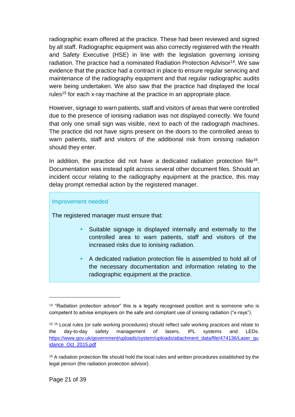radiographic exam offered at the practice. These had been reviewed and signed by all staff. Radiographic equipment was also correctly registered with the Health and Safety Executive (HSE) in line with the legislation governing ionising radiation. The practice had a nominated Radiation Protection Advisor<sup>14</sup>. We saw evidence that the practice had a contract in place to ensure regular servicing and maintenance of the radiography equipment and that regular radiographic audits were being undertaken. We also saw that the practice had displayed the local rules<sup>15</sup> for each x-ray machine at the practice in an appropriate place.

However, signage to warn patients, staff and visitors of areas that were controlled due to the presence of ionising radiation was not displayed correctly. We found that only one small sign was visible, next to each of the radiograph machines. The practice did not have signs present on the doors to the controlled areas to warn patients, staff and visitors of the additional risk from ionising radiation should they enter.

In addition, the practice did not have a dedicated radiation protection file<sup>16</sup>. Documentation was instead split across several other document files. Should an incident occur relating to the radiography equipment at the practice, this may delay prompt remedial action by the registered manager.

#### Improvement needed

The registered manager must ensure that:

- Suitable signage is displayed internally and externally to the controlled area to warn patients, staff and visitors of the increased risks due to ionising radiation.
- A dedicated radiation protection file is assembled to hold all of the necessary documentation and information relating to the radiographic equipment at the practice.

<sup>&</sup>lt;sup>14</sup> "Radiation protection advisor" this is a legally recognised position and is someone who is competent to advise employers on the safe and compliant use of ionising radiation ("x-rays").

<sup>&</sup>lt;sup>15 15</sup> Local rules (or safe working procedures) should reflect safe working practices and relate to the day-to-day safety management of lasers, IPL systems and LEDs. [https://www.gov.uk/government/uploads/system/uploads/attachment\\_data/file/474136/Laser\\_gu](https://www.gov.uk/government/uploads/system/uploads/attachment_data/file/474136/Laser_guidance_Oct_2015.pdf) [idance\\_Oct\\_2015.pdf](https://www.gov.uk/government/uploads/system/uploads/attachment_data/file/474136/Laser_guidance_Oct_2015.pdf)

<sup>&</sup>lt;sup>16</sup> A radiation protection file should hold the local rules and written procedures established by the legal person (the radiation protection advisor).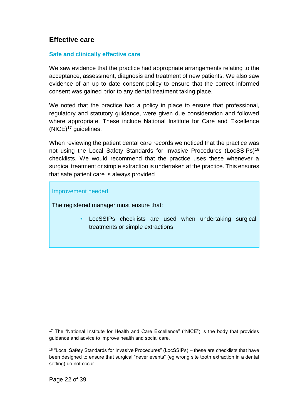### **Effective care**

#### **Safe and clinically effective care**

We saw evidence that the practice had appropriate arrangements relating to the acceptance, assessment, diagnosis and treatment of new patients. We also saw evidence of an up to date consent policy to ensure that the correct informed consent was gained prior to any dental treatment taking place.

We noted that the practice had a policy in place to ensure that professional, regulatory and statutory guidance, were given due consideration and followed where appropriate. These include National Institute for Care and Excellence (NICE)<sup>17</sup> guidelines.

When reviewing the patient dental care records we noticed that the practice was not using the Local Safety Standards for Invasive Procedures (LocSSIPs)<sup>18</sup> checklists. We would recommend that the practice uses these whenever a surgical treatment or simple extraction is undertaken at the practice. This ensures that safe patient care is always provided

#### Improvement needed

The registered manager must ensure that:

 LocSSIPs checklists are used when undertaking surgical treatments or simple extractions

<sup>&</sup>lt;sup>17</sup> The "National Institute for Health and Care Excellence" ("NICE") is the body that provides guidance and advice to improve health and social care.

<sup>&</sup>lt;sup>18</sup> "Local Safety Standards for Invasive Procedures" (LocSSIPs) – these are checklists that have been designed to ensure that surgical "never events" (eg wrong site tooth extraction in a dental setting) do not occur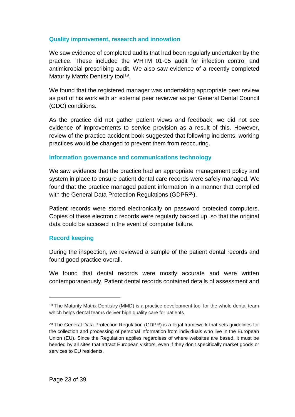#### **Quality improvement, research and innovation**

We saw evidence of completed audits that had been regularly undertaken by the practice. These included the WHTM 01-05 audit for infection control and antimicrobial prescribing audit. We also saw evidence of a recently completed Maturity Matrix Dentistry tool<sup>19</sup>.

We found that the registered manager was undertaking appropriate peer review as part of his work with an external peer reviewer as per General Dental Council (GDC) conditions.

As the practice did not gather patient views and feedback, we did not see evidence of improvements to service provision as a result of this. However, review of the practice accident book suggested that following incidents, working practices would be changed to prevent them from reoccuring.

#### **Information governance and communications technology**

We saw evidence that the practice had an appropriate management policy and system in place to ensure patient dental care records were safely managed. We found that the practice managed patient information in a manner that complied with the General Data Protection Regulations (GDPR<sup>20</sup>).

Patient records were stored electronically on password protected computers. Copies of these electronic records were regularly backed up, so that the original data could be accesed in the event of computer failure.

#### **Record keeping**

l

During the inspection, we reviewed a sample of the patient dental records and found good practice overall.

We found that dental records were mostly accurate and were written contemporaneously. Patient dental records contained details of assessment and

<sup>&</sup>lt;sup>19</sup> The Maturity Matrix Dentistry (MMD) is a practice development tool for the whole dental team which helps dental teams deliver high quality care for patients

 $20$  The General Data Protection Regulation (GDPR) is a legal framework that sets guidelines for the collection and processing of personal information from individuals who live in the European Union (EU). Since the Regulation applies regardless of where websites are based, it must be heeded by all sites that attract European visitors, even if they don't specifically market goods or services to EU residents.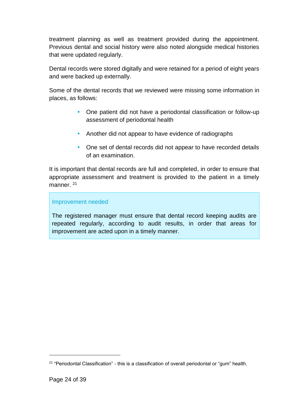treatment planning as well as treatment provided during the appointment. Previous dental and social history were also noted alongside medical histories that were updated regularly.

Dental records were stored digitally and were retained for a period of eight years and were backed up externally.

Some of the dental records that we reviewed were missing some information in places, as follows:

- One patient did not have a periodontal classification or follow-up assessment of periodontal health
- Another did not appear to have evidence of radiographs
- One set of dental records did not appear to have recorded details of an examination.

It is important that dental records are full and completed, in order to ensure that appropriate assessment and treatment is provided to the patient in a timely manner.<sup>21</sup>

#### Improvement needed

The registered manager must ensure that dental record keeping audits are repeated regularly, according to audit results, in order that areas for improvement are acted upon in a timely manner.

<sup>&</sup>lt;sup>21</sup> "Periodontal Classification" - this is a classification of overall periodontal or "gum" health.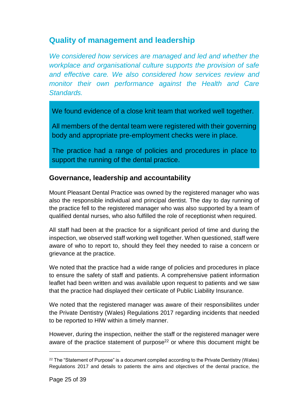## <span id="page-24-0"></span>**Quality of management and leadership**

*We considered how services are managed and led and whether the workplace and organisational culture supports the provision of safe and effective care. We also considered how services review and monitor their own performance against the Health and Care Standards.*

We found evidence of a close knit team that worked well together.

All members of the dental team were registered with their governing body and appropriate pre-employment checks were in place.

The practice had a range of policies and procedures in place to support the running of the dental practice.

#### **Governance, leadership and accountability**

Mount Pleasant Dental Practice was owned by the registered manager who was also the responsible individual and principal dentist. The day to day running of the practice fell to the registered manager who was also supported by a team of qualified dental nurses, who also fulfilled the role of receptionist when required.

All staff had been at the practice for a significant period of time and during the inspection, we observed staff working well together. When questioned, staff were aware of who to report to, should they feel they needed to raise a concern or grievance at the practice.

We noted that the practice had a wide range of policies and procedures in place to ensure the safety of staff and patients. A comprehensive patient information leaflet had been written and was available upon request to patients and we saw that the practice had displayed their certiicate of Public Liability Insurance.

We noted that the registered manager was aware of their responsibilites under the Private Dentistry (Wales) Regulations 2017 regarding incidents that needed to be reported to HIW within a timely manner.

However, during the inspection, neither the staff or the registered manager were aware of the practice statement of purpose<sup>22</sup> or where this document might be

<sup>&</sup>lt;sup>22</sup> The "Statement of Purpose" is a document compiled according to the Private Dentistry (Wales) Regulations 2017 and details to patients the aims and objectives of the dental practice, the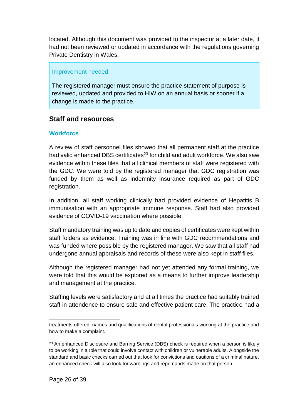located. Although this document was provided to the inspector at a later date, it had not been reviewed or updated in accordance with the regulations governing Private Dentistry in Wales.

#### Improvement needed

The registered manager must ensure the practice statement of purpose is reviewed, updated and provided to HIW on an annual basis or sooner if a change is made to the practice.

### **Staff and resources**

#### **Workforce**

A review of staff personnel files showed that all permanent staff at the practice had valid enhanced DBS certificates<sup>23</sup> for child and adult workforce. We also saw evidence within these files that all clinical members of staff were registered with the GDC. We were told by the registered manager that GDC registration was funded by them as well as indemnity insurance required as part of GDC registration.

In addition, all staff working clinically had provided evidence of Hepatitis B immunisation with an appropriate immune response. Staff had also provided evidence of COVID-19 vaccination where possible.

Staff mandatory training was up to date and copies of certificates were kept within staff folders as evidence. Training was in line with GDC recommendations and was funded where possible by the registered manager. We saw that all staff had undergone annual appraisals and records of these were also kept in staff files.

Although the registered manager had not yet attended any formal training, we were told that this would be explored as a means to further improve leadership and management at the practice.

Staffing levels were satisfactory and at all times the practice had suitably trained staff in attendence to ensure safe and effective patient care. The practice had a

l treatments offered, names and qualifications of dental professionals working at the practice and how to make a complaint.

 $23$  An enhanced Disclosure and Barring Service (DBS) check is required when a person is likely to be working in a role that could involve contact with children or vulnerable adults. Alongside the standard and basic checks carried out that look for convictions and cautions of a criminal nature, an enhanced check will also look for warnings and reprimands made on that person.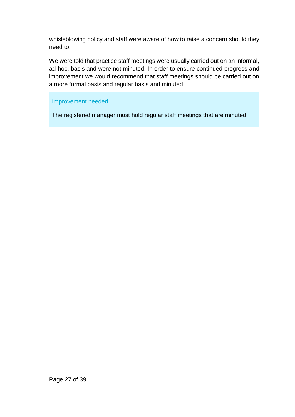whisleblowing policy and staff were aware of how to raise a concern should they need to.

We were told that practice staff meetings were usually carried out on an informal, ad-hoc, basis and were not minuted. In order to ensure continued progress and improvement we would recommend that staff meetings should be carried out on a more formal basis and regular basis and minuted

#### Improvement needed

The registered manager must hold regular staff meetings that are minuted.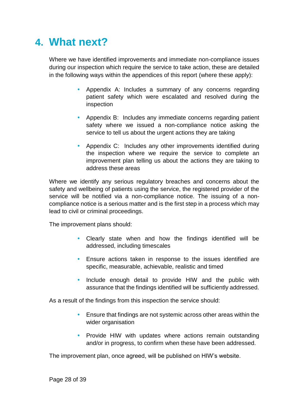## <span id="page-27-0"></span>**4. What next?**

Where we have identified improvements and immediate non-compliance issues during our inspection which require the service to take action, these are detailed in the following ways within the appendices of this report (where these apply):

- Appendix A: Includes a summary of any concerns regarding patient safety which were escalated and resolved during the inspection
- Appendix B: Includes any immediate concerns regarding patient safety where we issued a non-compliance notice asking the service to tell us about the urgent actions they are taking
- Appendix C: Includes any other improvements identified during the inspection where we require the service to complete an improvement plan telling us about the actions they are taking to address these areas

Where we identify any serious regulatory breaches and concerns about the safety and wellbeing of patients using the service, the registered provider of the service will be notified via a non-compliance notice. The issuing of a noncompliance notice is a serious matter and is the first step in a process which may lead to civil or criminal proceedings.

The improvement plans should:

- Clearly state when and how the findings identified will be addressed, including timescales
- Ensure actions taken in response to the issues identified are specific, measurable, achievable, realistic and timed
- Include enough detail to provide HIW and the public with assurance that the findings identified will be sufficiently addressed.

As a result of the findings from this inspection the service should:

- Ensure that findings are not systemic across other areas within the wider organisation
- Provide HIW with updates where actions remain outstanding and/or in progress, to confirm when these have been addressed.

The improvement plan, once agreed, will be published on HIW's website.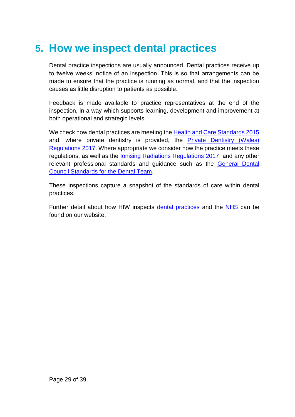## <span id="page-28-0"></span>**5. How we inspect dental practices**

Dental practice inspections are usually announced. Dental practices receive up to twelve weeks' notice of an inspection. This is so that arrangements can be made to ensure that the practice is running as normal, and that the inspection causes as little disruption to patients as possible.

Feedback is made available to practice representatives at the end of the inspection, in a way which supports learning, development and improvement at both operational and strategic levels.

We check how dental practices are meeting the [Health and Care Standards 2015](https://gov.wales/sites/default/files/publications/2019-05/health-and-care-standards-april-2015.pdf) and, where private dentistry is provided, the **Private Dentistry (Wales)** [Regulations 2017.](https://www.legislation.gov.uk/wsi/2017/202/pdfs/wsi_20170202_mi.pdf) Where appropriate we consider how the practice meets these regulations, as well as the [Ionising Radiations Regulations 2017,](https://www.legislation.gov.uk/uksi/2017/1075/contents/made) and any other relevant professional standards and guidance such as the General Dental [Council Standards for the Dental Team.](https://www.gdc-uk.org/professionals/standards)

These inspections capture a snapshot of the standards of care within dental practices.

Further detail about how HIW inspects [dental practices](https://hiw.org.uk/private-dentistry) and the [NHS](https://hiw.org.uk/sites/default/files/2019-05/170328inspectnhsen_0.pdf) can be found on our website.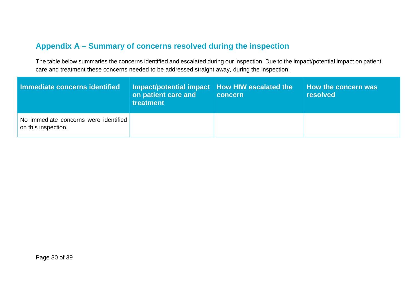## **Appendix A – Summary of concerns resolved during the inspection**

The table below summaries the concerns identified and escalated during our inspection. Due to the impact/potential impact on patient care and treatment these concerns needed to be addressed straight away, during the inspection.

<span id="page-29-0"></span>

| Immediate concerns identified                                | Impact/potential impact   How HIW escalated the \<br>on patient care and<br>treatment | concern | How the concern was<br><b>resolved</b> |
|--------------------------------------------------------------|---------------------------------------------------------------------------------------|---------|----------------------------------------|
| No immediate concerns were identified<br>on this inspection. |                                                                                       |         |                                        |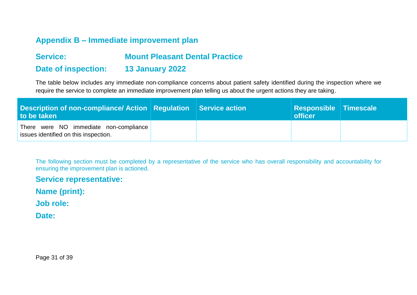### **Appendix B – Immediate improvement plan**

## **Service: Mount Pleasant Dental Practice Date of inspection: 13 January 2022**

The table below includes any immediate non-compliance concerns about patient safety identified during the inspection where we require the service to complete an immediate improvement plan telling us about the urgent actions they are taking.

| Description of non-compliance/ Action   Regulation   Service action<br>to be taken |  | <b>Responsible Timescale</b><br>officer |  |
|------------------------------------------------------------------------------------|--|-----------------------------------------|--|
| There were NO immediate non-compliance<br>issues identified on this inspection.    |  |                                         |  |

<span id="page-30-0"></span>The following section must be completed by a representative of the service who has overall responsibility and accountability for ensuring the improvement plan is actioned.

**Service representative:** 

**Name (print):** 

**Job role:** 

Date:

<span id="page-30-1"></span>Page 31 of 39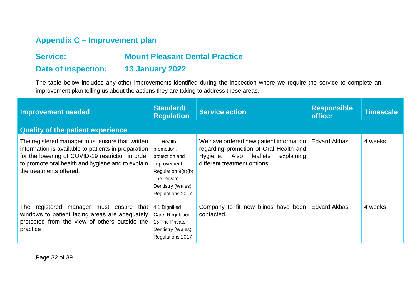## **Appendix C – Improvement plan**

## **Service: Mount Pleasant Dental Practice**

## **Date of inspection: 13 January 2022**

The table below includes any other improvements identified during the inspection where we require the service to complete an improvement plan telling us about the actions they are taking to address these areas.

| <b>Improvement needed</b>                                                                                                                                                                                                                   | Standard/<br><b>Regulation</b>                                                                                                           | <b>Service action</b>                                                                                                                                       | <b>Responsible</b><br><b>officer</b> | <b>Timescale</b> |
|---------------------------------------------------------------------------------------------------------------------------------------------------------------------------------------------------------------------------------------------|------------------------------------------------------------------------------------------------------------------------------------------|-------------------------------------------------------------------------------------------------------------------------------------------------------------|--------------------------------------|------------------|
| <b>Quality of the patient experience</b>                                                                                                                                                                                                    |                                                                                                                                          |                                                                                                                                                             |                                      |                  |
| The registered manager must ensure that written<br>information is available to patients in preparation<br>for the lowering of COVID-19 restriction in order<br>to promote oral health and hygiene and to explain<br>the treatments offered. | 1.1 Health<br>promotion,<br>protection and<br>improvement;<br>Regulation 9(a)(b)<br>The Private<br>Dentistry (Wales)<br>Regulations 2017 | We have ordered new patient information<br>regarding promotion of Oral Health and<br>Also leaflets<br>Hygiene.<br>explaining<br>different treatment options | <b>Edvard Akbas</b>                  | 4 weeks          |
| registered<br>The<br>manager<br>must ensure that<br>windows to patient facing areas are adequately<br>protected from the view of others outside the<br>practice                                                                             | 4.1 Dignified<br>Care; Regulation<br>15 The Private<br>Dentistry (Wales)<br>Regulations 2017                                             | Company to fit new blinds have been<br>contacted.                                                                                                           | <b>Edvard Akbas</b>                  | 4 weeks          |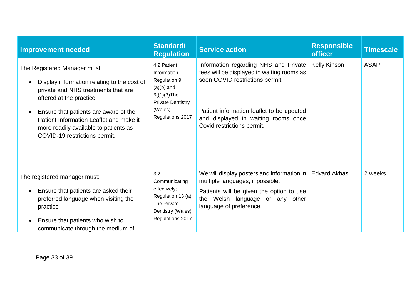| <b>Improvement needed</b>                                                                                                                                                                                                                                                                                                             | Standard/<br><b>Regulation</b>                                                                                                           | <b>Service action</b>                                                                                                                                                                                                                    | <b>Responsible</b><br><b>officer</b> | <b>Timescale</b> |
|---------------------------------------------------------------------------------------------------------------------------------------------------------------------------------------------------------------------------------------------------------------------------------------------------------------------------------------|------------------------------------------------------------------------------------------------------------------------------------------|------------------------------------------------------------------------------------------------------------------------------------------------------------------------------------------------------------------------------------------|--------------------------------------|------------------|
| The Registered Manager must:<br>Display information relating to the cost of<br>$\bullet$<br>private and NHS treatments that are<br>offered at the practice<br>Ensure that patients are aware of the<br>$\bullet$<br>Patient Information Leaflet and make it<br>more readily available to patients as<br>COVID-19 restrictions permit. | 4.2 Patient<br>Information,<br>Regulation 9<br>$(a)(b)$ and<br>$6((1)(3)$ The<br><b>Private Dentistry</b><br>(Wales)<br>Regulations 2017 | Information regarding NHS and Private<br>fees will be displayed in waiting rooms as<br>soon COVID restrictions permit.<br>Patient information leaflet to be updated<br>and displayed in waiting rooms once<br>Covid restrictions permit. | <b>Kelly Kinson</b>                  | <b>ASAP</b>      |
| The registered manager must:<br>Ensure that patients are asked their<br>$\bullet$<br>preferred language when visiting the<br>practice<br>Ensure that patients who wish to<br>$\bullet$<br>communicate through the medium of                                                                                                           | 3.2<br>Communicating<br>effectively;<br>Regulation 13 (a)<br>The Private<br>Dentistry (Wales)<br>Regulations 2017                        | We will display posters and information in<br>multiple languages, if possible.<br>Patients will be given the option to use<br>the Welsh language or any other<br>language of preference.                                                 | <b>Edvard Akbas</b>                  | 2 weeks          |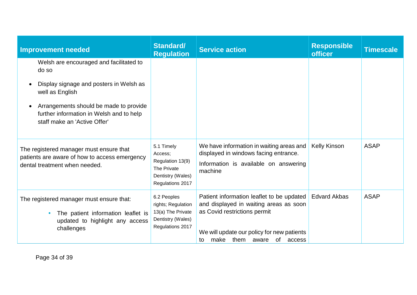| <b>Improvement needed</b>                                                                                                       | <b>Standard/</b><br><b>Regulation</b>                                                             | <b>Service action</b>                                                                                                                                                                                   | <b>Responsible</b><br><b>officer</b> | <b>Timescale</b> |
|---------------------------------------------------------------------------------------------------------------------------------|---------------------------------------------------------------------------------------------------|---------------------------------------------------------------------------------------------------------------------------------------------------------------------------------------------------------|--------------------------------------|------------------|
| Welsh are encouraged and facilitated to<br>do so                                                                                |                                                                                                   |                                                                                                                                                                                                         |                                      |                  |
| Display signage and posters in Welsh as<br>well as English                                                                      |                                                                                                   |                                                                                                                                                                                                         |                                      |                  |
| Arrangements should be made to provide<br>$\bullet$<br>further information in Welsh and to help<br>staff make an 'Active Offer' |                                                                                                   |                                                                                                                                                                                                         |                                      |                  |
| The registered manager must ensure that<br>patients are aware of how to access emergency<br>dental treatment when needed.       | 5.1 Timely<br>Access;<br>Regulation 13(9)<br>The Private<br>Dentistry (Wales)<br>Regulations 2017 | We have information in waiting areas and<br>displayed in windows facing entrance.<br>Information is available on answering<br>machine                                                                   | <b>Kelly Kinson</b>                  | <b>ASAP</b>      |
| The registered manager must ensure that:<br>The patient information leaflet is<br>updated to highlight any access<br>challenges | 6.2 Peoples<br>rights; Regulation<br>13(a) The Private<br>Dentistry (Wales)<br>Regulations 2017   | Patient information leaflet to be updated<br>and displayed in waiting areas as soon<br>as Covid restrictions permit<br>We will update our policy for new patients<br>make them aware<br>of access<br>to | <b>Edvard Akbas</b>                  | <b>ASAP</b>      |

Page 34 of 39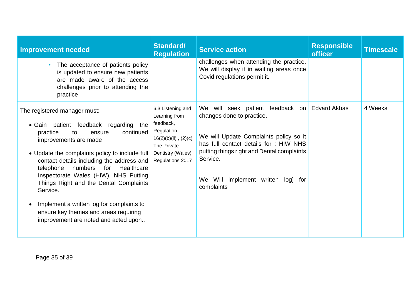| <b>Improvement needed</b>                                                                                                                                                                                                                                                                                                                                                                                                                                                                                     | Standard/<br><b>Regulation</b>                                                                                                                     | <b>Service action</b>                                                                                                                                                                                                                                              | <b>Responsible</b><br><b>officer</b> | <b>Timescale</b> |
|---------------------------------------------------------------------------------------------------------------------------------------------------------------------------------------------------------------------------------------------------------------------------------------------------------------------------------------------------------------------------------------------------------------------------------------------------------------------------------------------------------------|----------------------------------------------------------------------------------------------------------------------------------------------------|--------------------------------------------------------------------------------------------------------------------------------------------------------------------------------------------------------------------------------------------------------------------|--------------------------------------|------------------|
| The acceptance of patients policy<br>$\bullet$<br>is updated to ensure new patients<br>are made aware of the access<br>challenges prior to attending the<br>practice                                                                                                                                                                                                                                                                                                                                          |                                                                                                                                                    | challenges when attending the practice.<br>We will display it in waiting areas once<br>Covid regulations permit it.                                                                                                                                                |                                      |                  |
| The registered manager must:<br>• Gain patient feedback regarding<br>the<br>continued<br>practice<br>to<br>ensure<br>improvements are made<br>• Update the complaints policy to include full<br>contact details including the address and<br>numbers for Healthcare<br>telephone<br>Inspectorate Wales (HIW), NHS Putting<br>Things Right and the Dental Complaints<br>Service.<br>Implement a written log for complaints to<br>ensure key themes and areas requiring<br>improvement are noted and acted upon | 6.3 Listening and<br>Learning from<br>feedback,<br>Regulation<br>$16(2)(b)(ii)$ , $(2)(c)$<br>The Private<br>Dentistry (Wales)<br>Regulations 2017 | We will seek patient feedback<br>on<br>changes done to practice.<br>We will Update Complaints policy so it<br>has full contact details for : HIW NHS<br>putting things right and Dental complaints<br>Service.<br>We Will implement written log] for<br>complaints | <b>Edvard Akbas</b>                  | 4 Weeks          |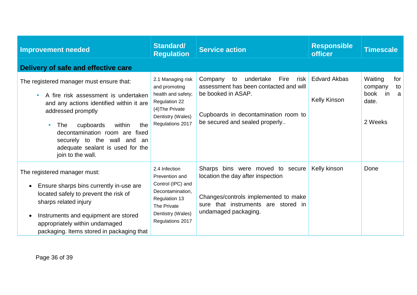| <b>Improvement needed</b>                                                                                                                                                                                                                                                                                                | <b>Standard/</b><br><b>Regulation</b>                                                                                                             | <b>Service action</b>                                                                                                                                                                | <b>Responsible</b><br><b>officer</b> | <b>Timescale</b>                                                       |
|--------------------------------------------------------------------------------------------------------------------------------------------------------------------------------------------------------------------------------------------------------------------------------------------------------------------------|---------------------------------------------------------------------------------------------------------------------------------------------------|--------------------------------------------------------------------------------------------------------------------------------------------------------------------------------------|--------------------------------------|------------------------------------------------------------------------|
| Delivery of safe and effective care                                                                                                                                                                                                                                                                                      |                                                                                                                                                   |                                                                                                                                                                                      |                                      |                                                                        |
| The registered manager must ensure that:<br>A fire risk assessment is undertaken<br>and any actions identified within it are<br>addressed promptly<br>cupboards<br>within<br>the<br><b>The</b><br>decontamination room are fixed<br>securely to the wall and an<br>adequate sealant is used for the<br>join to the wall. | 2.1 Managing risk<br>and promoting<br>health and safety;<br><b>Regulation 22</b><br>(4) The Private<br>Dentistry (Wales)<br>Regulations 2017      | undertake<br>Fire<br>Company<br>to<br>risk<br>assessment has been contacted and will<br>be booked in ASAP.<br>Cupboards in decontamination room to<br>be secured and sealed properly | <b>Edvard Akbas</b><br>Kelly Kinson  | Waiting<br>for<br>to<br>company<br>book<br>in<br>a<br>date.<br>2 Weeks |
| The registered manager must:<br>Ensure sharps bins currently in-use are<br>$\bullet$<br>located safely to prevent the risk of<br>sharps related injury<br>Instruments and equipment are stored<br>$\bullet$<br>appropriately within undamaged<br>packaging. Items stored in packaging that                               | 2.4 Infection<br>Prevention and<br>Control (IPC) and<br>Decontamination,<br>Regulation 13<br>The Private<br>Dentistry (Wales)<br>Regulations 2017 | Sharps bins were moved to secure<br>location the day after inspection<br>Changes/controls implemented to make<br>sure that instruments are stored in<br>undamaged packaging.         | Kelly kinson                         | Done                                                                   |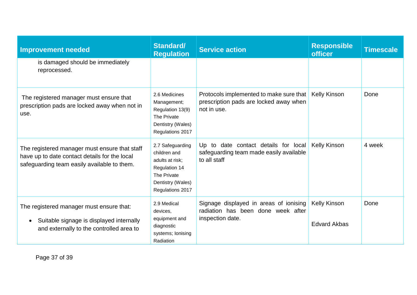| <b>Improvement needed</b>                                                                                                                     | Standard/<br><b>Regulation</b>                                                                                               | <b>Service action</b>                                                                            | <b>Responsible</b><br><b>officer</b>       | <b>Timescale</b> |
|-----------------------------------------------------------------------------------------------------------------------------------------------|------------------------------------------------------------------------------------------------------------------------------|--------------------------------------------------------------------------------------------------|--------------------------------------------|------------------|
| is damaged should be immediately<br>reprocessed.                                                                                              |                                                                                                                              |                                                                                                  |                                            |                  |
| The registered manager must ensure that<br>prescription pads are locked away when not in<br>use.                                              | 2.6 Medicines<br>Management;<br>Regulation 13(9)<br>The Private<br>Dentistry (Wales)<br>Regulations 2017                     | Protocols implemented to make sure that<br>prescription pads are locked away when<br>not in use. | <b>Kelly Kinson</b>                        | Done             |
| The registered manager must ensure that staff<br>have up to date contact details for the local<br>safeguarding team easily available to them. | 2.7 Safeguarding<br>children and<br>adults at risk;<br>Regulation 14<br>The Private<br>Dentistry (Wales)<br>Regulations 2017 | Up to date contact details for local<br>safeguarding team made easily available<br>to all staff  | <b>Kelly Kinson</b>                        | 4 week           |
| The registered manager must ensure that:<br>Suitable signage is displayed internally<br>$\bullet$<br>and externally to the controlled area to | 2.9 Medical<br>devices,<br>equipment and<br>diagnostic<br>systems; lonising<br>Radiation                                     | Signage displayed in areas of ionising<br>radiation has been done week after<br>inspection date. | <b>Kelly Kinson</b><br><b>Edvard Akbas</b> | Done             |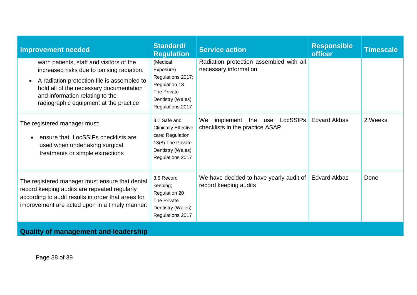| <b>Improvement needed</b>                                                                                                                                                                                                                                                  | <b>Standard/</b><br><b>Regulation</b>                                                                                         | <b>Service action</b>                                                  | <b>Responsible</b><br><b>officer</b> | <b>Timescale</b> |  |  |
|----------------------------------------------------------------------------------------------------------------------------------------------------------------------------------------------------------------------------------------------------------------------------|-------------------------------------------------------------------------------------------------------------------------------|------------------------------------------------------------------------|--------------------------------------|------------------|--|--|
| warn patients, staff and visitors of the<br>increased risks due to ionising radiation.<br>A radiation protection file is assembled to<br>$\bullet$<br>hold all of the necessary documentation<br>and information relating to the<br>radiographic equipment at the practice | (Medical<br>Exposure)<br>Regulations 2017;<br>Regulation 13<br>The Private<br>Dentistry (Wales)<br>Regulations 2017           | Radiation protection assembled with all<br>necessary information       |                                      |                  |  |  |
| The registered manager must:<br>ensure that LocSSIPs checklists are<br>used when undertaking surgical<br>treatments or simple extractions                                                                                                                                  | 3.1 Safe and<br><b>Clinically Effective</b><br>care; Regulation<br>13(8) The Private<br>Dentistry (Wales)<br>Regulations 2017 | implement the use<br>LocSSIPs<br>We<br>checklists in the practice ASAP | <b>Edvard Akbas</b>                  | 2 Weeks          |  |  |
| The registered manager must ensure that dental<br>record keeping audits are repeated regularly<br>according to audit results in order that areas for<br>improvement are acted upon in a timely manner.                                                                     | 3.5 Record<br>keeping;<br>Regulation 20<br>The Private<br>Dentistry (Wales)<br>Regulations 2017                               | We have decided to have yearly audit of<br>record keeping audits       | <b>Edvard Akbas</b>                  | Done             |  |  |
| <b>Quality of management and leadership</b>                                                                                                                                                                                                                                |                                                                                                                               |                                                                        |                                      |                  |  |  |